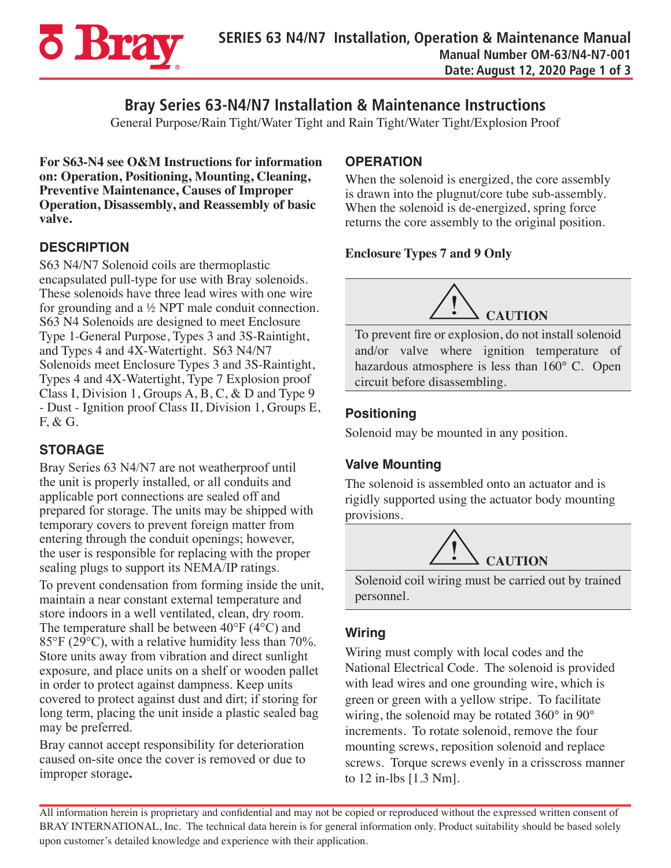

# **Bray Series 63-N4/N7 Installation & Maintenance Instructions**

General Purpose/Rain Tight/Water Tight and Rain Tight/Water Tight/Explosion Proof

**For S63-N4 see O&M Instructions for information on: Operation, Positioning, Mounting, Cleaning, Preventive Maintenance, Causes of Improper Operation, Disassembly, and Reassembly of basic valve.**

### **DESCRIPTION**

S63 N4/N7 Solenoid coils are thermoplastic encapsulated pull-type for use with Bray solenoids. These solenoids have three lead wires with one wire for grounding and a  $\frac{1}{2}$  NPT male conduit connection. S63 N4 Solenoids are designed to meet Enclosure Type 1-General Purpose, Types 3 and 3S-Raintight, and Types 4 and 4X-Watertight. S63 N4/N7 Solenoids meet Enclosure Types 3 and 3S-Raintight, Types 4 and 4X-Watertight, Type 7 Explosion proof Class I, Division 1, Groups A, B, C, & D and Type 9 - Dust - Ignition proof Class II, Division 1, Groups E, F, & G.

### **STORAGE**

Bray Series 63 N4/N7 are not weatherproof until the unit is properly installed, or all conduits and applicable port connections are sealed off and prepared for storage. The units may be shipped with temporary covers to prevent foreign matter from entering through the conduit openings; however, the user is responsible for replacing with the proper sealing plugs to support its NEMA/IP ratings.

To prevent condensation from forming inside the unit, maintain a near constant external temperature and store indoors in a well ventilated, clean, dry room. The temperature shall be between 40°F (4°C) and 85°F (29°C), with a relative humidity less than 70%. Store units away from vibration and direct sunlight exposure, and place units on a shelf or wooden pallet in order to protect against dampness. Keep units covered to protect against dust and dirt; if storing for long term, placing the unit inside a plastic sealed bag may be preferred.

Bray cannot accept responsibility for deterioration caused on-site once the cover is removed or due to improper storage**.**

## **OPERATION**

When the solenoid is energized, the core assembly is drawn into the plugnut/core tube sub-assembly. When the solenoid is de-energized, spring force returns the core assembly to the original position.

#### **Enclosure Types 7 and 9 Only**



To prevent fire or explosion, do not install solenoid and/or valve where ignition temperature of hazardous atmosphere is less than 160° C. Open circuit before disassembling.

### **Positioning**

Solenoid may be mounted in any position.

## **Valve Mounting**

The solenoid is assembled onto an actuator and is rigidly supported using the actuator body mounting provisions.



Solenoid coil wiring must be carried out by trained personnel.

### **Wiring**

Wiring must comply with local codes and the National Electrical Code. The solenoid is provided with lead wires and one grounding wire, which is green or green with a yellow stripe. To facilitate wiring, the solenoid may be rotated 360° in 90° increments. To rotate solenoid, remove the four mounting screws, reposition solenoid and replace screws. Torque screws evenly in a crisscross manner to 12 in-lbs [1.3 Nm].

All information herein is proprietary and confidential and may not be copied or reproduced without the expressed written consent of BRAY INTERNATIONAL, Inc. The technical data herein is for general information only. Product suitability should be based solely upon customer's detailed knowledge and experience with their application.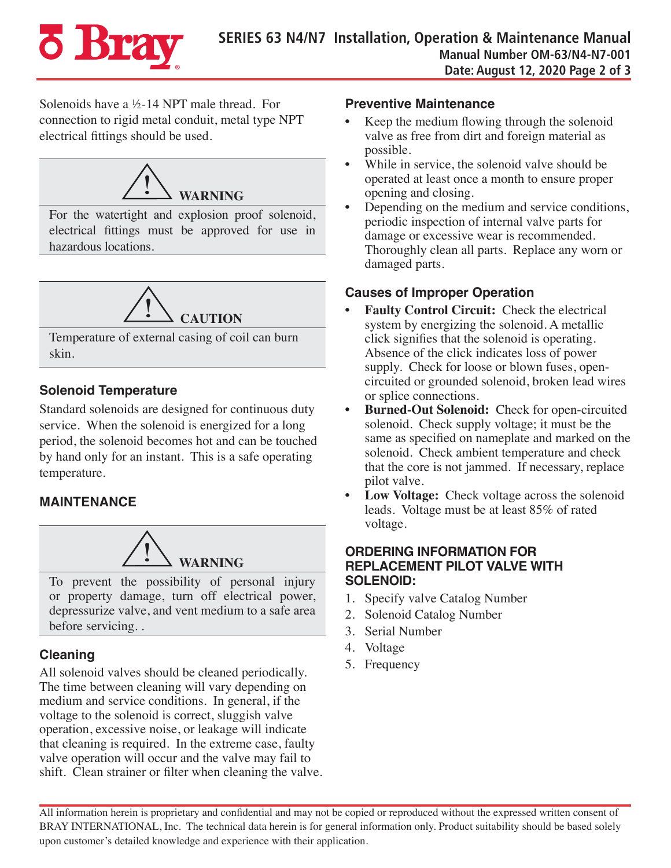

Solenoids have a ½-14 NPT male thread. For connection to rigid metal conduit, metal type NPT electrical fittings should be used.



For the watertight and explosion proof solenoid, electrical fittings must be approved for use in hazardous locations.



Temperature of external casing of coil can burn skin.

### **Solenoid Temperature**

Standard solenoids are designed for continuous duty service. When the solenoid is energized for a long period, the solenoid becomes hot and can be touched by hand only for an instant. This is a safe operating temperature.

## **MAINTENANCE**



To prevent the possibility of personal injury or property damage, turn off electrical power, depressurize valve, and vent medium to a safe area before servicing. .

## **Cleaning**

All solenoid valves should be cleaned periodically. The time between cleaning will vary depending on medium and service conditions. In general, if the voltage to the solenoid is correct, sluggish valve operation, excessive noise, or leakage will indicate that cleaning is required. In the extreme case, faulty valve operation will occur and the valve may fail to shift. Clean strainer or filter when cleaning the valve.

#### **Preventive Maintenance**

- Keep the medium flowing through the solenoid valve as free from dirt and foreign material as possible.
- While in service, the solenoid valve should be operated at least once a month to ensure proper opening and closing.
- Depending on the medium and service conditions, periodic inspection of internal valve parts for damage or excessive wear is recommended. Thoroughly clean all parts. Replace any worn or damaged parts.

### **Causes of Improper Operation**

- **• Faulty Control Circuit:** Check the electrical system by energizing the solenoid. A metallic click signifies that the solenoid is operating. Absence of the click indicates loss of power supply. Check for loose or blown fuses, opencircuited or grounded solenoid, broken lead wires or splice connections.
- **• Burned-Out Solenoid:** Check for open-circuited solenoid. Check supply voltage; it must be the same as specified on nameplate and marked on the solenoid. Check ambient temperature and check that the core is not jammed. If necessary, replace pilot valve.
- Low Voltage: Check voltage across the solenoid leads. Voltage must be at least 85% of rated voltage.

#### **ORDERING INFORMATION FOR REPLACEMENT PILOT VALVE WITH SOLENOID:**

- 1. Specify valve Catalog Number
- 2. Solenoid Catalog Number
- 3. Serial Number
- 4. Voltage
- 5. Frequency

All information herein is proprietary and confidential and may not be copied or reproduced without the expressed written consent of BRAY INTERNATIONAL, Inc. The technical data herein is for general information only. Product suitability should be based solely upon customer's detailed knowledge and experience with their application.